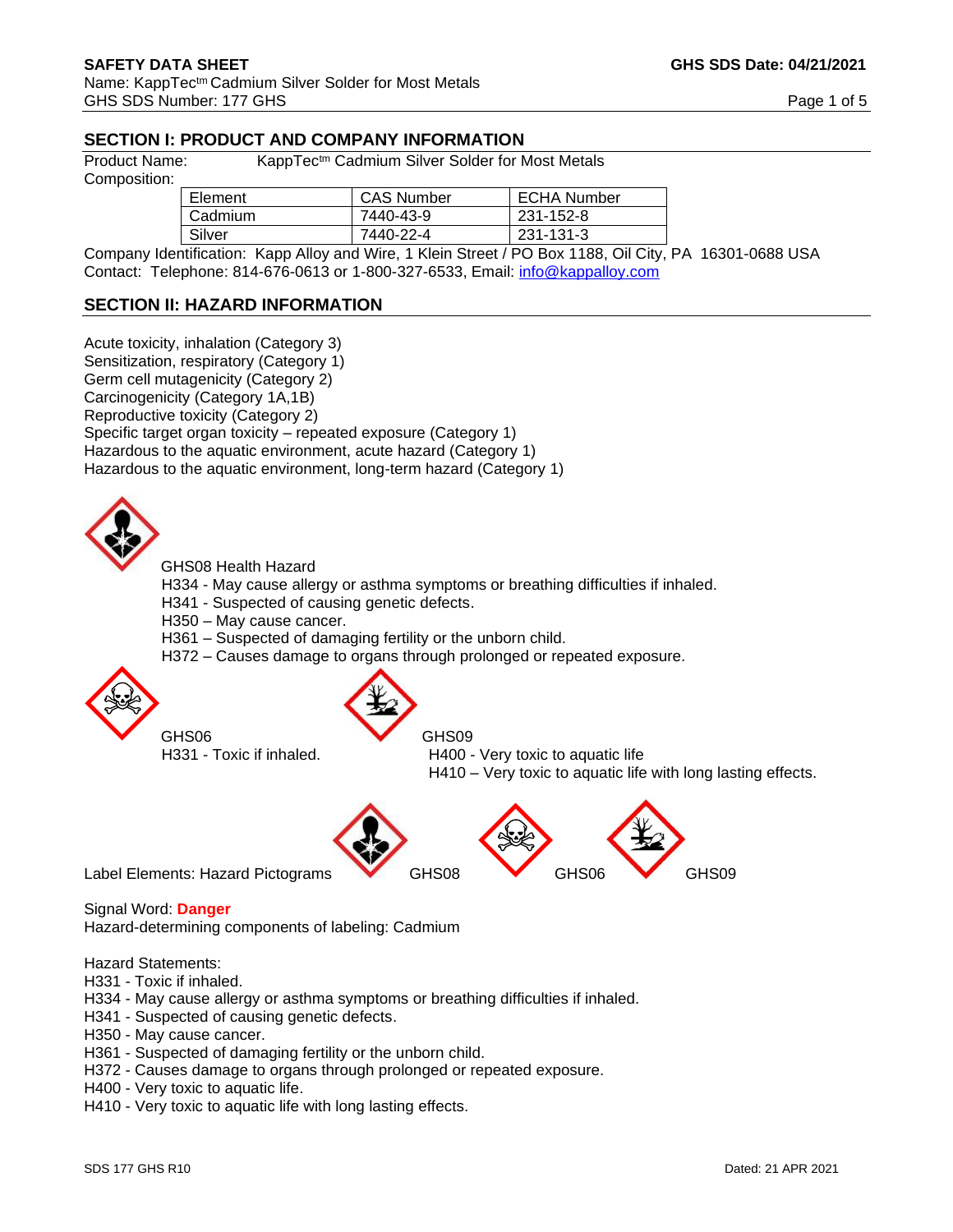# **SECTION I: PRODUCT AND COMPANY INFORMATION**

Product Name: KappTec<sup>tm</sup> Cadmium Silver Solder for Most Metals

Composition:

| Element | <b>CAS Number</b> | <b>ECHA Number</b> |
|---------|-------------------|--------------------|
| Cadmium | 7440-43-9         | 231-152-8          |
| Silver  | 7440-22-4         | 231-131-3          |

Company Identification: Kapp Alloy and Wire, 1 Klein Street / PO Box 1188, Oil City, PA 16301-0688 USA Contact: Telephone: 814-676-0613 or 1-800-327-6533, Email: [info@kappalloy.com](mailto:info@kappalloy.com)

# **SECTION II: HAZARD INFORMATION**

Acute toxicity, inhalation (Category 3) Sensitization, respiratory (Category 1) Germ cell mutagenicity (Category 2) Carcinogenicity (Category 1A,1B) Reproductive toxicity (Category 2) Specific target organ toxicity – repeated exposure (Category 1) Hazardous to the aquatic environment, acute hazard (Category 1) Hazardous to the aquatic environment, long-term hazard (Category 1)



GHS08 Health Hazard

- H334 May cause allergy or asthma symptoms or breathing difficulties if inhaled.
- H341 Suspected of causing genetic defects.
- H350 May cause cancer.
- H361 Suspected of damaging fertility or the unborn child.
- H372 Causes damage to organs through prolonged or repeated exposure.



GHS06 GHS09

H331 - Toxic if inhaled. H400 - Very toxic to aquatic life H410 – Very toxic to aquatic life with long lasting effects.



Signal Word: **Danger** 

Hazard-determining components of labeling: Cadmium

Hazard Statements:

- H331 Toxic if inhaled.
- H334 May cause allergy or asthma symptoms or breathing difficulties if inhaled.
- H341 Suspected of causing genetic defects.
- H350 May cause cancer.
- H361 Suspected of damaging fertility or the unborn child.
- H372 Causes damage to organs through prolonged or repeated exposure.
- H400 Very toxic to aquatic life.
- H410 Very toxic to aquatic life with long lasting effects.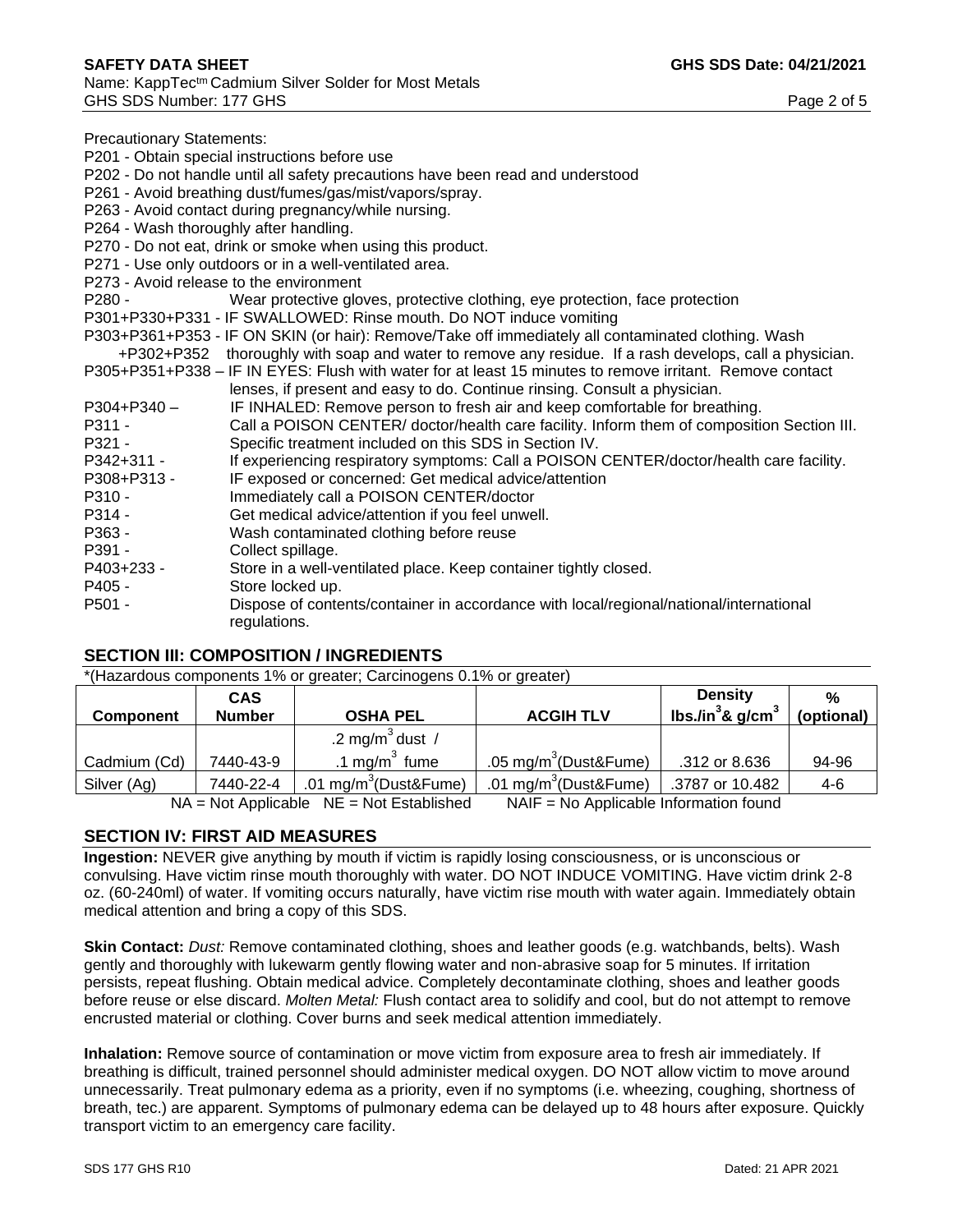Precautionary Statements:

P201 - Obtain special instructions before use

- P202 Do not handle until all safety precautions have been read and understood
- P261 Avoid breathing dust/fumes/gas/mist/vapors/spray.
- P263 Avoid contact during pregnancy/while nursing.
- P264 Wash thoroughly after handling.
- P270 Do not eat, drink or smoke when using this product.
- P271 Use only outdoors or in a well-ventilated area.
- P273 Avoid release to the environment
- P280 Wear protective gloves, protective clothing, eye protection, face protection
- P301+P330+P331 IF SWALLOWED: Rinse mouth. Do NOT induce vomiting
- P303+P361+P353 IF ON SKIN (or hair): Remove/Take off immediately all contaminated clothing. Wash
- +P302+P352 thoroughly with soap and water to remove any residue. If a rash develops, call a physician. P305+P351+P338 – IF IN EYES: Flush with water for at least 15 minutes to remove irritant. Remove contact
- lenses, if present and easy to do. Continue rinsing. Consult a physician.
- P304+P340 IF INHALED: Remove person to fresh air and keep comfortable for breathing.
- P311 Call a POISON CENTER/ doctor/health care facility. Inform them of composition Section III. P321 - Specific treatment included on this SDS in Section IV.
- P342+311 If experiencing respiratory symptoms: Call a POISON CENTER/doctor/health care facility.
- P308+P313 IF exposed or concerned: Get medical advice/attention
- P310 Immediately call a POISON CENTER/doctor
- P314 Get medical advice/attention if you feel unwell.
- P363 Wash contaminated clothing before reuse
- P391 Collect spillage.
- P403+233 Store in a well-ventilated place. Keep container tightly closed.
- P405 Store locked up.
- P501 Dispose of contents/container in accordance with local/regional/national/international regulations.

#### **SECTION III: COMPOSITION / INGREDIENTS**

\*(Hazardous components 1% or greater; Carcinogens 0.1% or greater)

|                                                                                        | <b>CAS</b>    |                               |                                   | <b>Density</b>         | %          |
|----------------------------------------------------------------------------------------|---------------|-------------------------------|-----------------------------------|------------------------|------------|
| <b>Component</b>                                                                       | <b>Number</b> | <b>OSHA PEL</b>               | <b>ACGIH TLV</b>                  | lbs./in $3$ & g/cm $3$ | (optional) |
|                                                                                        |               | .2 mg/m <sup>3</sup> dust /   |                                   |                        |            |
| Cadmium (Cd)                                                                           | 7440-43-9     | .1 mg/m $3$ fume              | .05 mg/m <sup>3</sup> (Dust&Fume) | .312 or 8.636          | 94-96      |
| Silver (Ag)                                                                            | 7440-22-4     | .01 mg/m ${}^{3}$ (Dust&Fume) | .01 mg/m <sup>3</sup> (Dust&Fume) | .3787 or 10.482        | 4-6        |
| NAIF = No Applicable Information found<br>$NA = Not$ Applicable $NE = Not$ Established |               |                               |                                   |                        |            |

### **SECTION IV: FIRST AID MEASURES**

**Ingestion:** NEVER give anything by mouth if victim is rapidly losing consciousness, or is unconscious or convulsing. Have victim rinse mouth thoroughly with water. DO NOT INDUCE VOMITING. Have victim drink 2-8 oz. (60-240ml) of water. If vomiting occurs naturally, have victim rise mouth with water again. Immediately obtain medical attention and bring a copy of this SDS.

**Skin Contact:** *Dust:* Remove contaminated clothing, shoes and leather goods (e.g. watchbands, belts). Wash gently and thoroughly with lukewarm gently flowing water and non-abrasive soap for 5 minutes. If irritation persists, repeat flushing. Obtain medical advice. Completely decontaminate clothing, shoes and leather goods before reuse or else discard. *Molten Metal:* Flush contact area to solidify and cool, but do not attempt to remove encrusted material or clothing. Cover burns and seek medical attention immediately.

**Inhalation:** Remove source of contamination or move victim from exposure area to fresh air immediately. If breathing is difficult, trained personnel should administer medical oxygen. DO NOT allow victim to move around unnecessarily. Treat pulmonary edema as a priority, even if no symptoms (i.e. wheezing, coughing, shortness of breath, tec.) are apparent. Symptoms of pulmonary edema can be delayed up to 48 hours after exposure. Quickly transport victim to an emergency care facility.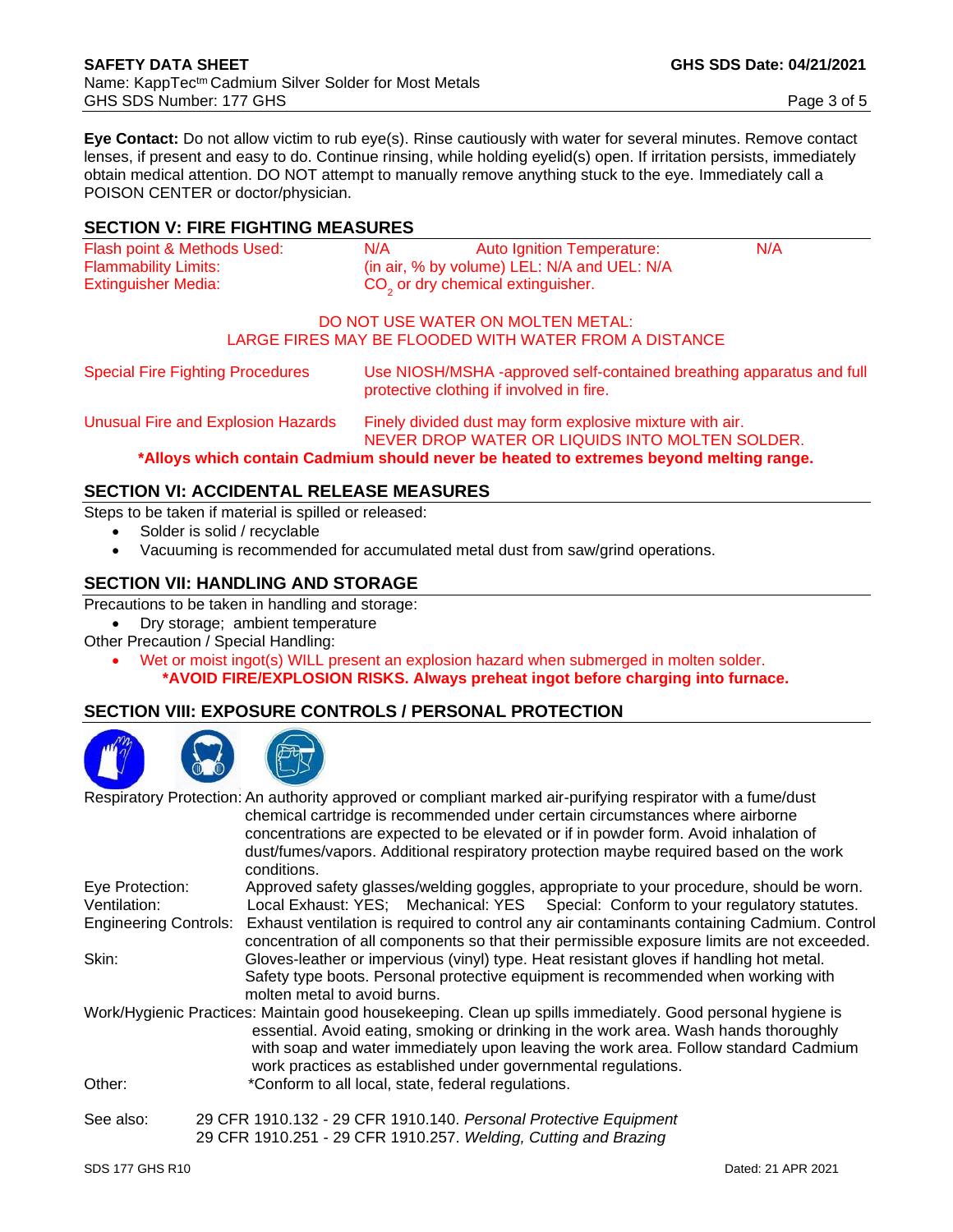**Eye Contact:** Do not allow victim to rub eye(s). Rinse cautiously with water for several minutes. Remove contact lenses, if present and easy to do. Continue rinsing, while holding eyelid(s) open. If irritation persists, immediately obtain medical attention. DO NOT attempt to manually remove anything stuck to the eye. Immediately call a POISON CENTER or doctor/physician.

## **SECTION V: FIRE FIGHTING MEASURES**

| Flash point & Methods Used: | N/A | Auto Ignition Temperature:                    | N/A |
|-----------------------------|-----|-----------------------------------------------|-----|
| <b>Flammability Limits:</b> |     | (in air, $%$ by volume) LEL: N/A and UEL: N/A |     |
| Extinguisher Media:         |     | CO <sub>2</sub> or dry chemical extinguisher. |     |

#### DO NOT USE WATER ON MOLTEN METAL: LARGE FIRES MAY BE FLOODED WITH WATER FROM A DISTANCE

Special Fire Fighting Procedures Use NIOSH/MSHA -approved self-contained breathing apparatus and full protective clothing if involved in fire.

Unusual Fire and Explosion Hazards Finely divided dust may form explosive mixture with air. NEVER DROP WATER OR LIQUIDS INTO MOLTEN SOLDER.

**\*Alloys which contain Cadmium should never be heated to extremes beyond melting range.** 

# **SECTION VI: ACCIDENTAL RELEASE MEASURES**

Steps to be taken if material is spilled or released:

- Solder is solid / recyclable
- Vacuuming is recommended for accumulated metal dust from saw/grind operations.

### **SECTION VII: HANDLING AND STORAGE**

Precautions to be taken in handling and storage:

- Dry storage; ambient temperature
- Other Precaution / Special Handling:
	- Wet or moist ingot(s) WILL present an explosion hazard when submerged in molten solder. **\*AVOID FIRE/EXPLOSION RISKS. Always preheat ingot before charging into furnace.**

### **SECTION VIII: EXPOSURE CONTROLS / PERSONAL PROTECTION**



|                 | Respiratory Protection: An authority approved or compliant marked air-purifying respirator with a fume/dust<br>chemical cartridge is recommended under certain circumstances where airborne<br>concentrations are expected to be elevated or if in powder form. Avoid inhalation of<br>dust/fumes/vapors. Additional respiratory protection maybe required based on the work<br>conditions. |
|-----------------|---------------------------------------------------------------------------------------------------------------------------------------------------------------------------------------------------------------------------------------------------------------------------------------------------------------------------------------------------------------------------------------------|
| Eye Protection: | Approved safety glasses/welding goggles, appropriate to your procedure, should be worn.                                                                                                                                                                                                                                                                                                     |
| Ventilation:    | Local Exhaust: YES; Mechanical: YES Special: Conform to your regulatory statutes.                                                                                                                                                                                                                                                                                                           |
|                 | Engineering Controls: Exhaust ventilation is required to control any air contaminants containing Cadmium. Control<br>concentration of all components so that their permissible exposure limits are not exceeded.                                                                                                                                                                            |
| Skin:           | Gloves-leather or impervious (vinyl) type. Heat resistant gloves if handling hot metal.                                                                                                                                                                                                                                                                                                     |
|                 | Safety type boots. Personal protective equipment is recommended when working with<br>molten metal to avoid burns.                                                                                                                                                                                                                                                                           |
|                 | Work/Hygienic Practices: Maintain good housekeeping. Clean up spills immediately. Good personal hygiene is<br>essential. Avoid eating, smoking or drinking in the work area. Wash hands thoroughly<br>with soap and water immediately upon leaving the work area. Follow standard Cadmium<br>work practices as established under governmental regulations.                                  |
| Other:          | *Conform to all local, state, federal regulations.                                                                                                                                                                                                                                                                                                                                          |
| See also:       | 29 CFR 1910.132 - 29 CFR 1910.140. Personal Protective Equipment                                                                                                                                                                                                                                                                                                                            |
|                 | 29 CFR 1910.251 - 29 CFR 1910.257. Welding, Cutting and Brazing                                                                                                                                                                                                                                                                                                                             |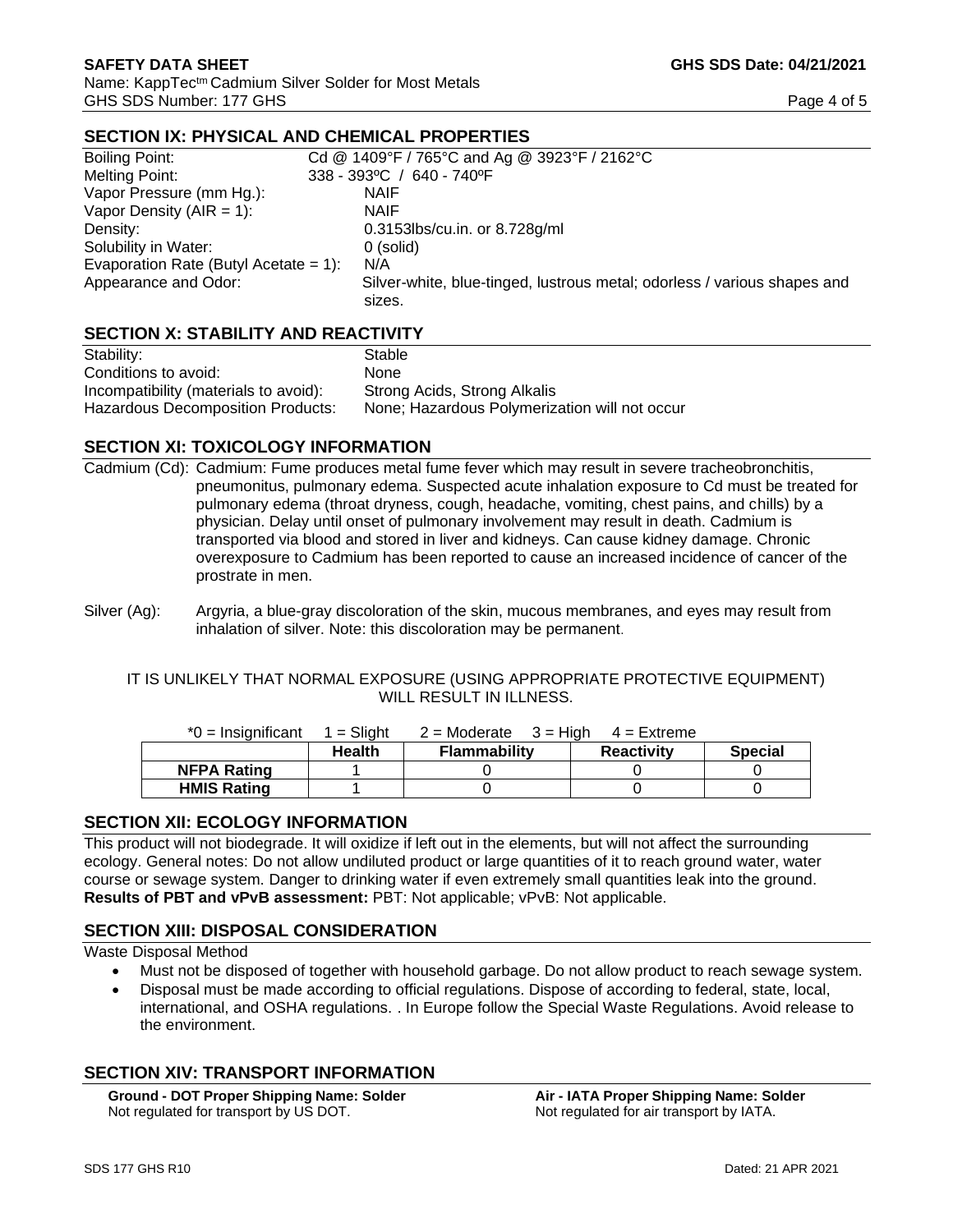# **SECTION IX: PHYSICAL AND CHEMICAL PROPERTIES**

| Boiling Point:                        | Cd @ 1409°F / 765°C and Ag @ 3923°F / 2162°C                                       |  |  |
|---------------------------------------|------------------------------------------------------------------------------------|--|--|
| Melting Point:                        | 338 - 393°C / 640 - 740°F                                                          |  |  |
| Vapor Pressure (mm Hg.):              | <b>NAIF</b>                                                                        |  |  |
| Vapor Density ( $AIR = 1$ ):          | <b>NAIF</b>                                                                        |  |  |
| Density:                              | 0.3153lbs/cu.in. or 8.728g/ml                                                      |  |  |
| Solubility in Water:                  | $0$ (solid)                                                                        |  |  |
| Evaporation Rate (Butyl Acetate = 1): | N/A                                                                                |  |  |
| Appearance and Odor:                  | Silver-white, blue-tinged, lustrous metal; odorless / various shapes and<br>sizes. |  |  |
|                                       |                                                                                    |  |  |

# **SECTION X: STABILITY AND REACTIVITY**

| Stability:                            | Stable                                        |
|---------------------------------------|-----------------------------------------------|
| Conditions to avoid:                  | <b>None</b>                                   |
| Incompatibility (materials to avoid): | Strong Acids, Strong Alkalis                  |
| Hazardous Decomposition Products:     | None; Hazardous Polymerization will not occur |

#### **SECTION XI: TOXICOLOGY INFORMATION**

Cadmium (Cd): Cadmium: Fume produces metal fume fever which may result in severe tracheobronchitis, pneumonitus, pulmonary edema. Suspected acute inhalation exposure to Cd must be treated for pulmonary edema (throat dryness, cough, headache, vomiting, chest pains, and chills) by a physician. Delay until onset of pulmonary involvement may result in death. Cadmium is transported via blood and stored in liver and kidneys. Can cause kidney damage. Chronic overexposure to Cadmium has been reported to cause an increased incidence of cancer of the prostrate in men.

#### IT IS UNLIKELY THAT NORMAL EXPOSURE (USING APPROPRIATE PROTECTIVE EQUIPMENT) WILL RESULT IN ILLNESS.

| $*0 =$ Insignificant | $=$ Slight    | $2 =$ Moderate $3 =$ High | 4 = Extreme       |                |
|----------------------|---------------|---------------------------|-------------------|----------------|
|                      | <b>Health</b> | <b>Flammability</b>       | <b>Reactivity</b> | <b>Special</b> |
| <b>NFPA Rating</b>   |               |                           |                   |                |
| <b>HMIS Rating</b>   |               |                           |                   |                |

### **SECTION XII: ECOLOGY INFORMATION**

This product will not biodegrade. It will oxidize if left out in the elements, but will not affect the surrounding ecology. General notes: Do not allow undiluted product or large quantities of it to reach ground water, water course or sewage system. Danger to drinking water if even extremely small quantities leak into the ground. **Results of PBT and vPvB assessment:** PBT: Not applicable; vPvB: Not applicable.

### **SECTION XIII: DISPOSAL CONSIDERATION**

Waste Disposal Method

- Must not be disposed of together with household garbage. Do not allow product to reach sewage system.
- Disposal must be made according to official regulations. Dispose of according to federal, state, local, international, and OSHA regulations. . In Europe follow the Special Waste Regulations. Avoid release to the environment.

# **SECTION XIV: TRANSPORT INFORMATION**

**Ground - DOT Proper Shipping Name: Solder Air - IATA Proper Shipping Name: Solder** Not regulated for transport by US DOT. Not regulated for air transport by IATA.

Silver (Ag): Argyria, a blue-gray discoloration of the skin, mucous membranes, and eyes may result from inhalation of silver. Note: this discoloration may be permanent.